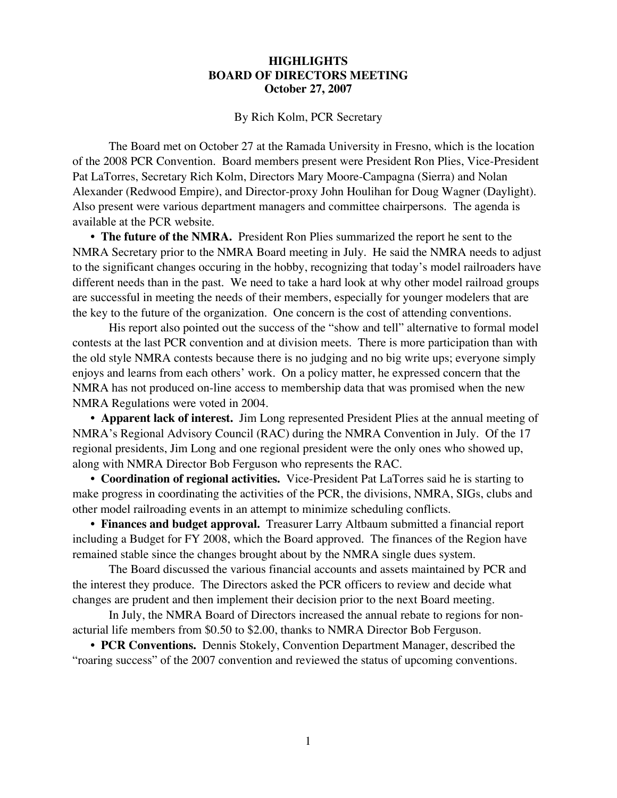## **HIGHLIGHTS BOARD OF DIRECTORS MEETING October 27, 2007**

By Rich Kolm, PCR Secretary

The Board met on October 27 at the Ramada University in Fresno, which is the location of the 2008 PCR Convention. Board members present were President Ron Plies, Vice-President Pat LaTorres, Secretary Rich Kolm, Directors Mary Moore-Campagna (Sierra) and Nolan Alexander (Redwood Empire), and Director-proxy John Houlihan for Doug Wagner (Daylight). Also present were various department managers and committee chairpersons. The agenda is available at the PCR website.

**• The future of the NMRA.** President Ron Plies summarized the report he sent to the NMRA Secretary prior to the NMRA Board meeting in July. He said the NMRA needs to adjust to the significant changes occuring in the hobby, recognizing that today's model railroaders have different needs than in the past. We need to take a hard look at why other model railroad groups are successful in meeting the needs of their members, especially for younger modelers that are the key to the future of the organization. One concern is the cost of attending conventions.

His report also pointed out the success of the "show and tell" alternative to formal model contests at the last PCR convention and at division meets. There is more participation than with the old style NMRA contests because there is no judging and no big write ups; everyone simply enjoys and learns from each others' work. On a policy matter, he expressed concern that the NMRA has not produced on-line access to membership data that was promised when the new NMRA Regulations were voted in 2004.

**• Apparent lack of interest.** Jim Long represented President Plies at the annual meeting of NMRA's Regional Advisory Council (RAC) during the NMRA Convention in July. Of the 17 regional presidents, Jim Long and one regional president were the only ones who showed up, along with NMRA Director Bob Ferguson who represents the RAC.

**• Coordination of regional activities.** Vice-President Pat LaTorres said he is starting to make progress in coordinating the activities of the PCR, the divisions, NMRA, SIGs, clubs and other model railroading events in an attempt to minimize scheduling conflicts.

**• Finances and budget approval.** Treasurer Larry Altbaum submitted a financial report including a Budget for FY 2008, which the Board approved. The finances of the Region have remained stable since the changes brought about by the NMRA single dues system.

The Board discussed the various financial accounts and assets maintained by PCR and the interest they produce. The Directors asked the PCR officers to review and decide what changes are prudent and then implement their decision prior to the next Board meeting.

In July, the NMRA Board of Directors increased the annual rebate to regions for nonacturial life members from \$0.50 to \$2.00, thanks to NMRA Director Bob Ferguson.

**• PCR Conventions.** Dennis Stokely, Convention Department Manager, described the "roaring success" of the 2007 convention and reviewed the status of upcoming conventions.